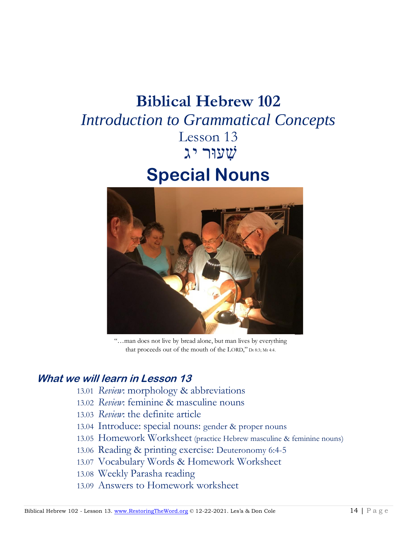# **Biblical Hebrew 102** *Introduction to Grammatical Concepts* Lesson 13 שׁ ִעוּר יג **Special Nouns**



"…man does not live by bread alone, but man lives by everything that proceeds out of the mouth of the LORD," Dt 8:3; Mt 4:4.

### **What we will learn in Lesson 13**

- 13.01 *Review*: morphology & abbreviations
- 13.02 *Review*: feminine & masculine nouns
- 13.03 *Review*: the definite article
- 13.04 Introduce: special nouns: gender & proper nouns
- 13.05 Homework Worksheet (practice Hebrew masculine & feminine nouns)
- 13.06 Reading & printing exercise: Deuteronomy 6:4-5
- 13.07 Vocabulary Words & Homework Worksheet
- 13.08 Weekly Parasha reading
- 13.09 Answers to Homework worksheet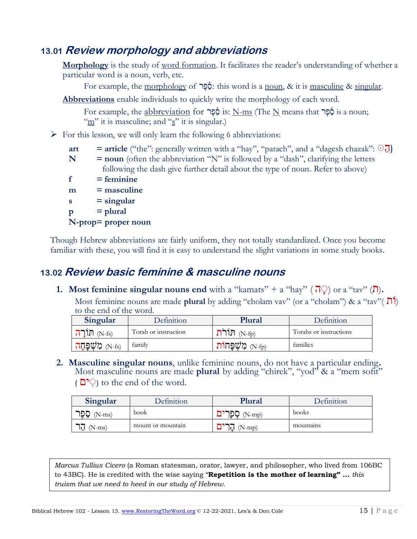## **13.01 Review morphology and abbreviations**

**Morphology** is the study of <u>word formation</u>. It facilitates the reader's understanding of whether a particular word is a noun, verb, etc.

For example, the morphology of  $\phi$ : this word is a noun, & it is masculine & singular.

**Abbreviations** enable individuals to quickly write the morphology of each word.

 $\frac{1}{2}$   $\frac{1}{2}$ לְפֵּך is: N-ms (The N means that הֲפֶּך is a noun; "m" it is masculine; and "s" it is singular.)

 $\triangleright$  For this lesson, we will only learn the following 6 abbreviations:

- **art** = **article** ("the": generally written with a "hay", "patach", and a "dagesh chazak":  $\odot$ **]**)
- **N** = **noun** (often the abbreviation "N" is followed by a "dash", clarifying the letters following the dash give further detail about the type of noun. Refer to above)
- $f = f$ **eminine**
- **m = masculine s = singular**  $p = plural$ **N-prop= proper noun**

Though Hebrew abbreviations are fairly uniform, they not totally standardized. Once you become familiar with these, you will find it is easy to understand the slight variations in some study books.

## **13.02 Review basic feminine & masculine nouns**

**1. Most feminine singular nouns end** with a "kamats" + a "hay" ( $\overline{P}$ ) or a "tav" ( $\overline{P}$ ). Most feminine nouns are made **plural** by adding "cholam vav" (or a "cholam") & a "tav"( ותֹ( to the end of the word.

| Singular                | Definition           | Plural          | Definition             |
|-------------------------|----------------------|-----------------|------------------------|
| הורה (N-fs)             | Torah or instruction | הור<br>$(N-fn)$ | Torahs or instructions |
| מְשָׁפַּחַה<br>$(N-fs)$ | family               | $N-fn$          | families               |

**2. Masculine singular nouns**, unlike feminine nouns, do not have a particular ending**.** Most masculine nouns are made **plural** by adding "chirek", "yod" & a "mem sofit" ( $\cap$ <sup> $\circ$ </sup>) to the end of the word.

| Singular        | <b>Definition</b> | Plural | Definition |
|-----------------|-------------------|--------|------------|
| סֶפֶר<br>N-ms)  | book              | (N-mp) | books      |
| $(N-ms)$<br>١Ū٠ | mount or mountain | N-mo)  | mountains  |

*Marcus Tullius Cicero* (a Roman statesman, orator, lawyer, and philosopher, who lived from 106BC to 43BC). He is credited with the wise saying "**Repetition is the mother of learning" …** *this truism that we need to heed in our study of Hebrew.*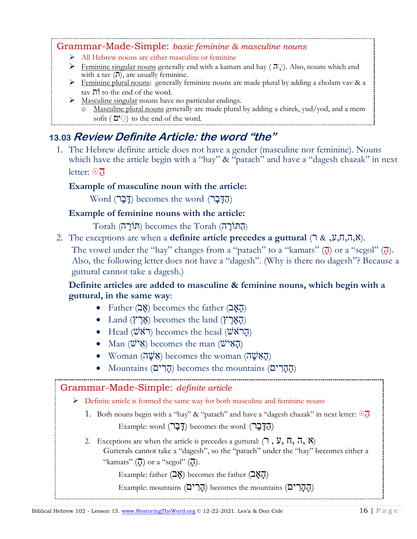#### Grammar-Made-Simple: *basic feminine & masculine nouns*

- ➢ All Hebrew nouns are either masculine or feminine
- $\triangleright$  Feminine singular nouns generally end with a kamats and hay ( $\overline{v}$ ). Also, nouns which end with a tav  $($ T $)$ , are usually feminine.
- ➢ Feminine plural nouns: generally feminine nouns are made plural by adding a cholam vav & a  $\alpha$  tav  $\mathbf{\Pi}$  to the end of the word.
- ➢ Masculine singular nouns have no particular endings.
	- o Masculine plural nouns generally are made plural by adding a chirek, yud/yod, and a mem sofit ( $\heartsuit$  to the end of the word.

## **13.03 Review Definite Article: the word "the"**

1. The Hebrew definite article does not have a gender (masculine nor feminine). Nouns which have the article begin with a "hay" & "patach" and have a "dagesh chazak" in next letter:  $\odot$  $\frac{1}{2}$  factor  $\frac{1}{2}$ 

#### **Example of masculine noun with the article:**  $r_{\text{c}}$  Example of masculine noun-with the article:

 $\mathop{\mathsf{Word}}\limits$  (הַדָּבָר) becomes the word (הַדָּבָר)

#### Example of feminine nouns with the article:  $\frac{1}{\pi}$   $\frac{1}{\pi}$

(ה ּתוֺ רָ ה) Torah the becomes) ּתוֹרָ ה) Torah

2. The exceptions are when a **definite article precedes a guttural** (ר& ִ,ע,ִח,ה,א(. heart 1 oran z. The exception

The vowel under the "hay" changes from a "patach" to a "kamats"  $(\vec{q})$  or a "segol"  $(\vec{q})$ . Also, the following letter does not have a "dagesh". (Why is there no dagesh"? Because a anso, the ronowing letter does a dagesh.)

## Definite articles are added to masculine & feminine nouns, which begin with a guttural, in the same way:

- $\bullet$  Father (הָאָב) becomes the father (הָאָב)
- $\bullet$  Land (אֶרֶץ) becomes the land (הָאֲרֶץ)
- $\bullet$  Head (שְׂרֹאשׁ) becomes the head (הֲרֹאשׁ)
- (הָ א ישׁ) man the becomes) א ישׁ) Man• **12.06 Review Definite Article: the word "the"**
	- Woman (הָאָשָׁה) becomes the woman (הַאָּשָׁה)
	- Mountains (הֲהָרִים) becomes the mountains (הֵהָרִים)

## Grammar-Made-Simple: *definite article* ➢ Definite article is formed the same way for both masculine and feminine nouns 1. Both nouns begin with a "hay" & "patach" and have a "dagesh chazak" in next letter:  $\odot$  $Example: word (727) becomes the word (577).$ 2. Exceptions are when the article is precedes a guttural:  $(7, \mathcal{Y}, \Pi, \Pi, \mathcal{X})$ Gutterals cannot take a "dagesh", so the "patach" under the "hay" becomes either a "kamats"  $(\vec{a})$  or a "segol"  $(\vec{a})$ . Example: father  $(2<sup>x</sup>)$  becomes the father  $(2<sup>x</sup>)$ Example: mountains (הָרִים) becomes the mountains (הָהָרִים)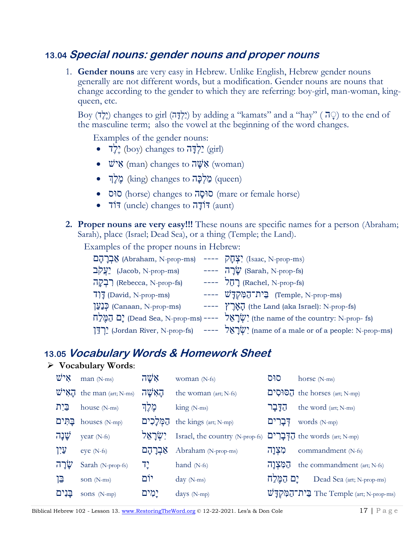## **13.04 Special nouns: gender nouns and proper nouns**

1. **Gender nouns** are very easy in Hebrew. Unlike English, Hebrew gender nouns generally are not different words, but a modification. Gender nouns are nouns that change according to the gender to which they are referring: boy-girl, man-woman, kingqueen, etc.

Boy (יֶלֶדָּה) changes to girl (יַלְדָּה) by adding a "kamats" and a "hay" (יָלֶה) to the end of the masculine term; also the vowel at the beginning of the word changes.

Examples of the gender nouns:

- לְדָה (boy) changes to  $\vec{r}$ יָלְדָ
- $\psi$ אָל (man) changes to  $\vec{w}$ אָ (woman)
- $\bullet$  (מֶלֶךָּה (king) changes to מַלְכָּה (queen)
- סוּס) horse) changes to [ה ָסוּס](https://www.pealim.com/dict/5539-susa/#h-s)) mare or female horse)
- $\overrightarrow{717}$  (uncle) changes to  $\overrightarrow{717}$  (aunt)
- **2. Proper nouns are very easy!!!** These nouns are specific names for a person (Abraham; Sarah), place (Israel; Dead Sea), or a thing (Temple; the Land).

Examples of the proper nouns in Hebrew:

| אָבְרָהָם (Abraham, N-prop-ms) ---- יִצְחֲק (Isaac, N-prop-ms) |                                                                                                     |
|----------------------------------------------------------------|-----------------------------------------------------------------------------------------------------|
| $\frac{1}{2}$ עֲקֹב (Jacob, N-prop-ms)                         | ---- עֲרָה (Sarah, N-prop-fs)                                                                       |
| (Rebecca, N-prop-fs) רְבְקָה                                   | $--- 7\pi$ ] (Rachel, N-prop-fs)                                                                    |
| $7]$ [David, N-prop-ms]                                        | ---- (Temple, N-prop-ms) הֵית־הַמְּקְדַּשׁ                                                          |
| רְנַעֲן (Canaan, N-prop-ms)                                    | ---- (the Land (aka Israel): N-prop-fs)                                                             |
|                                                                | הַמֶּלְח (Dead Sea, N-prop-ms) ---- (שֶׁרָאֵל (the name of the country: N-prop- fs)                 |
|                                                                | יְרְדֵּן (Jordan River, N-prop-fs) ---- $\psi$ יָלְבְאֵל (name of a male or of a people: N-prop-ms) |

### **13.05 Vocabulary Words & Homework Sheet**

#### ➢ **Vocabulary Words**:

| איש      | man (N-ms)                          | אַשָׁה      | woman (N-fs)                    | סוּס      | horse $(N-ms)$                                                |
|----------|-------------------------------------|-------------|---------------------------------|-----------|---------------------------------------------------------------|
|          | $W^{\prime}N$ . the man (art; N-ms) | הַאִשָּׁה   | the woman (art; N-fs)           |           | To the horses (art; N-mp)                                     |
| בֵּיִת   | house (N-ms)                        | מֵלֵך       | $\text{king}$ (N-ms)            | הַדַּבַר  | the word (art; N-ms)                                          |
| בַּתְּים | houses (N-mp)                       | הַמְּלַכִים | the kings (art; N-mp)           | דִּבַרִים | words (N-mp)                                                  |
| שַׁנָה   | year (N-fs)                         | יִשְׂרַאֵל  | Israel, the country (N-prop-fs) |           | The words (art; N-mp)                                         |
| עַיִן    | eye (N-fs)                          | אַבְרָהָם   | Abraham (N-prop-ms)             | מִצְוָה   | commandment (N-fs)                                            |
| שֲׂרָה   | Sarah (N-prop-fs)                   | יִך         | hand $(N-fs)$                   | המִצְוַה  | the commandment (art; N-fs)                                   |
| ייֱן     | son (N-ms)                          | יוֹם        | $day (N-ms)$                    | ים המֵלַח | Dead Sea (art; N-prop-ms)                                     |
| בְּנִים  | sons (N-mp)                         | יָמִים      | days $(N-mp)$                   |           | $\vec{w}$ ית־הַמָּקְדַּ $\vec{w}$ The Temple (art; N-prop-ms) |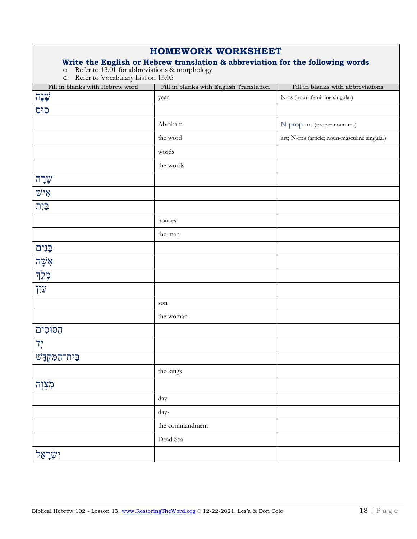#### **HOMEWORK WORKSHEET**

#### **Write the English or Hebrew translation & abbreviation for the following words**

o Refer to 13.01 for abbreviations & morphology

o Refer to Vocabulary List on 13.05

| Fill in blanks with Hebrew word   | Fill in blanks with English Translation | Fill in blanks with abbreviations            |
|-----------------------------------|-----------------------------------------|----------------------------------------------|
| ֹשֲנָה                            | year                                    | N-fs (noun-feminine singular)                |
| סוּס                              |                                         |                                              |
|                                   | Abraham                                 | N-prop-ms (proper.noun-ms)                   |
|                                   | the word                                | art; N-ms (article; noun-masculine singular) |
|                                   | words                                   |                                              |
|                                   | the words                               |                                              |
| שֲׂרָה                            |                                         |                                              |
| $\psi$ אַי                        |                                         |                                              |
| $\underline{\mathbb{C}}$ רַ       |                                         |                                              |
|                                   | houses                                  |                                              |
|                                   | the man                                 |                                              |
| בָּנִים                           |                                         |                                              |
| אַשָּׁה                           |                                         |                                              |
| מֶלֶךְ                            |                                         |                                              |
| <u>עֵי</u> ן                      |                                         |                                              |
|                                   | son                                     |                                              |
|                                   | the woman                               |                                              |
| הסוּסִים                          |                                         |                                              |
| $7^\circ_\tau$                    |                                         |                                              |
| בֵּית־הַמָּקְדָ <sup>ּיָ</sup> שׁ |                                         |                                              |
|                                   | the kings                               |                                              |
| מִצְוָה                           |                                         |                                              |
|                                   | day                                     |                                              |
|                                   | days                                    |                                              |
|                                   | the commandment                         |                                              |
|                                   | Dead Sea                                |                                              |
| יִשְׂרָאֵל $\dddot{q}$            |                                         |                                              |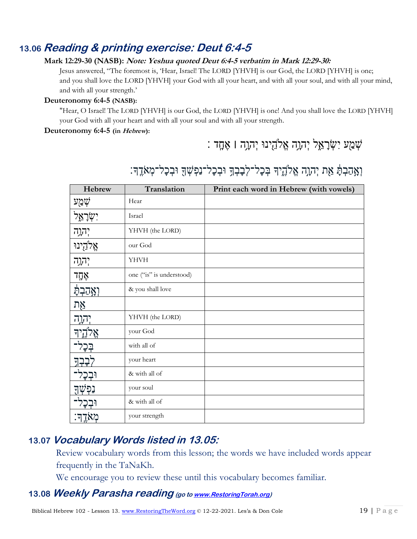## **13.06 Reading & printing exercise: Deut 6:4-5**

#### **Mark 12:29-30 (NASB): Note: Yeshua quoted Deut 6:4-5 verbatim in Mark 12:29-30:**

Jesus answered, "The foremost is, 'Hear, Israel! The LORD [YHVH] is our God, the LORD [YHVH] is one; and you shall love the LORD [YHVH] your God with all your heart, and with all your soul, and with all your mind, and with all your strength.'

#### **Deuteronomy 6:4-5 (NASB):**

"Hear, O Israel! The LORD [YHVH] is our God, the LORD [YHVH] is one! And you shall love the LORD [YHVH] your God with all your heart and with all your soul and with all your strength.

#### **Deuteronomy 6:4-5 (in Hebrew):**

## : שְׁמַע יִשְׂרָאֵל יְהוָה אֱלֹהֵינוּ יְהוָה | אֶחֶד

| Hebrew                  | Translation              | Print each word in Hebrew (with vowels) |
|-------------------------|--------------------------|-----------------------------------------|
| שְׁמַע                  | Hear                     |                                         |
| יִשְׂרָא <del>ֶ</del> ל | Israel                   |                                         |
| יְהוָרָה                | YHVH (the LORD)          |                                         |
| אֱלֹהֻינוּ              | our God                  |                                         |
| יְהוָרָה                | YHVH                     |                                         |
| אָחֶד                   | one ("is" is understood) |                                         |
| <u>יְאֲ</u> הַבְתָֿ     | & you shall love         |                                         |
| אֶת                     |                          |                                         |
| יהוה:<br>               | YHVH (the LORD)          |                                         |
| אַל                     | your God                 |                                         |
|                         | with all of              |                                         |
|                         | your heart               |                                         |
|                         | & with all of            |                                         |
| נִפְּעִ                 | your soul                |                                         |
|                         | & with all of            |                                         |
| מְאֹדֶךָ.               | your strength            |                                         |

## וְאֲהַבְתָּ֫ אֵת יְהוָה אֱלֹהֱיִךְ בְּכָל־לְבָבְךָ וּבְכָל־נַפְשְׁךָ וּבְכָל־מְאֹרֶךְ׃

### **13.07 Vocabulary Words listed in 13.05:**

Review vocabulary words from this lesson; the words we have included words appear frequently in the TaNaKh.

We encourage you to review these until this vocabulary becomes familiar.

#### **13.08 Weekly Parasha reading (go t[o www.RestoringTorah.org\)](http://www.restoringtorah.org/)**